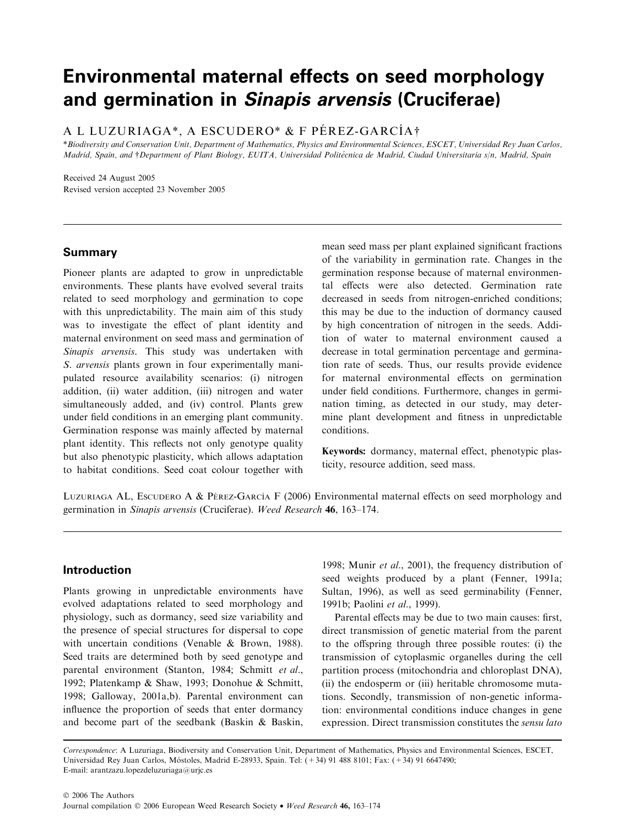# Environmental maternal effects on seed morphology and germination in Sinapis arvensis (Cruciferae)

# A L LUZURIAGA\*, A ESCUDERO\* & F PÉREZ-GARCÍA†

\*Biodiversity and Conservation Unit, Department of Mathematics, Physics and Environmental Sciences, ESCET, Universidad Rey Juan Carlos, Madrid, Spain, and †Department of Plant Biology, EUITA, Universidad Politécnica de Madrid, Ciudad Universitaria s/n, Madrid, Spain

Received 24 August 2005 Revised version accepted 23 November 2005

## Summary

Pioneer plants are adapted to grow in unpredictable environments. These plants have evolved several traits related to seed morphology and germination to cope with this unpredictability. The main aim of this study was to investigate the effect of plant identity and maternal environment on seed mass and germination of Sinapis arvensis. This study was undertaken with S. arvensis plants grown in four experimentally manipulated resource availability scenarios: (i) nitrogen addition, (ii) water addition, (iii) nitrogen and water simultaneously added, and (iv) control. Plants grew under field conditions in an emerging plant community. Germination response was mainly affected by maternal plant identity. This reflects not only genotype quality but also phenotypic plasticity, which allows adaptation to habitat conditions. Seed coat colour together with mean seed mass per plant explained significant fractions of the variability in germination rate. Changes in the germination response because of maternal environmental effects were also detected. Germination rate decreased in seeds from nitrogen-enriched conditions; this may be due to the induction of dormancy caused by high concentration of nitrogen in the seeds. Addition of water to maternal environment caused a decrease in total germination percentage and germination rate of seeds. Thus, our results provide evidence for maternal environmental effects on germination under field conditions. Furthermore, changes in germination timing, as detected in our study, may determine plant development and fitness in unpredictable conditions.

Keywords: dormancy, maternal effect, phenotypic plasticity, resource addition, seed mass.

LUZURIAGA AL, EscUDERO A & PÉREZ-GARCÍA F (2006) Environmental maternal effects on seed morphology and germination in Sinapis arvensis (Cruciferae). Weed Research 46, 163–174.

# Introduction

Plants growing in unpredictable environments have evolved adaptations related to seed morphology and physiology, such as dormancy, seed size variability and the presence of special structures for dispersal to cope with uncertain conditions (Venable & Brown, 1988). Seed traits are determined both by seed genotype and parental environment (Stanton, 1984; Schmitt et al., 1992; Platenkamp & Shaw, 1993; Donohue & Schmitt, 1998; Galloway, 2001a,b). Parental environment can influence the proportion of seeds that enter dormancy and become part of the seedbank (Baskin & Baskin,

1998; Munir et al., 2001), the frequency distribution of seed weights produced by a plant (Fenner, 1991a; Sultan, 1996), as well as seed germinability (Fenner, 1991b; Paolini et al., 1999).

Parental effects may be due to two main causes: first, direct transmission of genetic material from the parent to the offspring through three possible routes: (i) the transmission of cytoplasmic organelles during the cell partition process (mitochondria and chloroplast DNA), (ii) the endosperm or (iii) heritable chromosome mutations. Secondly, transmission of non-genetic information: environmental conditions induce changes in gene expression. Direct transmission constitutes the sensu lato

Correspondence: A Luzuriaga, Biodiversity and Conservation Unit, Department of Mathematics, Physics and Environmental Sciences, ESCET, Universidad Rey Juan Carlos, Móstoles, Madrid E-28933, Spain. Tel: (+34) 91 488 8101; Fax: (+34) 91 6647490; E-mail: arantzazu.lopezdeluzuriaga@urjc.es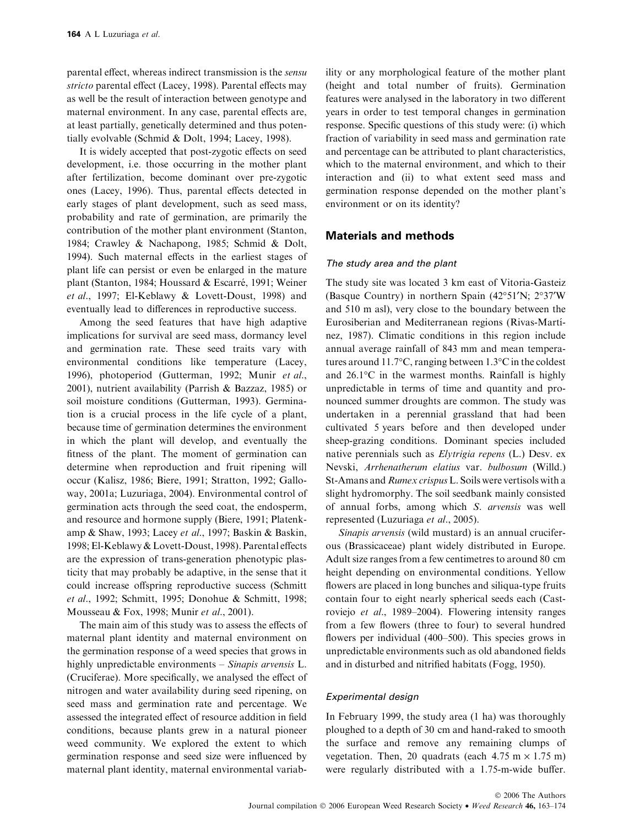parental effect, whereas indirect transmission is the sensu stricto parental effect (Lacey, 1998). Parental effects may as well be the result of interaction between genotype and maternal environment. In any case, parental effects are, at least partially, genetically determined and thus potentially evolvable (Schmid & Dolt, 1994; Lacey, 1998).

It is widely accepted that post-zygotic effects on seed development, i.e. those occurring in the mother plant after fertilization, become dominant over pre-zygotic ones (Lacey, 1996). Thus, parental effects detected in early stages of plant development, such as seed mass, probability and rate of germination, are primarily the contribution of the mother plant environment (Stanton, 1984; Crawley & Nachapong, 1985; Schmid & Dolt, 1994). Such maternal effects in the earliest stages of plant life can persist or even be enlarged in the mature plant (Stanton, 1984; Houssard & Escarré, 1991; Weiner et al., 1997; El-Keblawy & Lovett-Doust, 1998) and eventually lead to differences in reproductive success.

Among the seed features that have high adaptive implications for survival are seed mass, dormancy level and germination rate. These seed traits vary with environmental conditions like temperature (Lacey, 1996), photoperiod (Gutterman, 1992; Munir et al., 2001), nutrient availability (Parrish & Bazzaz, 1985) or soil moisture conditions (Gutterman, 1993). Germination is a crucial process in the life cycle of a plant, because time of germination determines the environment in which the plant will develop, and eventually the fitness of the plant. The moment of germination can determine when reproduction and fruit ripening will occur (Kalisz, 1986; Biere, 1991; Stratton, 1992; Galloway, 2001a; Luzuriaga, 2004). Environmental control of germination acts through the seed coat, the endosperm, and resource and hormone supply (Biere, 1991; Platenkamp & Shaw, 1993; Lacey et al., 1997; Baskin & Baskin, 1998; El-Keblawy & Lovett-Doust, 1998). Parental effects are the expression of trans-generation phenotypic plasticity that may probably be adaptive, in the sense that it could increase offspring reproductive success (Schmitt et al., 1992; Schmitt, 1995; Donohue & Schmitt, 1998; Mousseau & Fox, 1998; Munir et al., 2001).

The main aim of this study was to assess the effects of maternal plant identity and maternal environment on the germination response of a weed species that grows in highly unpredictable environments - Sinapis arvensis L. (Cruciferae). More specifically, we analysed the effect of nitrogen and water availability during seed ripening, on seed mass and germination rate and percentage. We assessed the integrated effect of resource addition in field conditions, because plants grew in a natural pioneer weed community. We explored the extent to which germination response and seed size were influenced by maternal plant identity, maternal environmental variability or any morphological feature of the mother plant (height and total number of fruits). Germination features were analysed in the laboratory in two different years in order to test temporal changes in germination response. Specific questions of this study were: (i) which fraction of variability in seed mass and germination rate and percentage can be attributed to plant characteristics, which to the maternal environment, and which to their interaction and (ii) to what extent seed mass and germination response depended on the mother plant's environment or on its identity?

# Materials and methods

#### The study area and the plant

The study site was located 3 km east of Vitoria-Gasteiz (Basque Country) in northern Spain (42°51'N; 2°37'W and 510 m asl), very close to the boundary between the Eurosiberian and Mediterranean regions (Rivas-Martı´ nez, 1987). Climatic conditions in this region include annual average rainfall of 843 mm and mean temperatures around 11.7°C, ranging between 1.3°C in the coldest and  $26.1^{\circ}$ C in the warmest months. Rainfall is highly unpredictable in terms of time and quantity and pronounced summer droughts are common. The study was undertaken in a perennial grassland that had been cultivated 5 years before and then developed under sheep-grazing conditions. Dominant species included native perennials such as Elytrigia repens (L.) Desv. ex Nevski, Arrhenatherum elatius var. bulbosum (Willd.) St-Amans and *Rumex crispus* L. Soils were vertisols with a slight hydromorphy. The soil seedbank mainly consisted of annual forbs, among which S. arvensis was well represented (Luzuriaga et al., 2005).

Sinapis arvensis (wild mustard) is an annual cruciferous (Brassicaceae) plant widely distributed in Europe. Adult size ranges from a few centimetres to around 80 cm height depending on environmental conditions. Yellow flowers are placed in long bunches and siliqua-type fruits contain four to eight nearly spherical seeds each (Castroviejo et al., 1989–2004). Flowering intensity ranges from a few flowers (three to four) to several hundred flowers per individual (400–500). This species grows in unpredictable environments such as old abandoned fields and in disturbed and nitrified habitats (Fogg, 1950).

#### Experimental design

In February 1999, the study area (1 ha) was thoroughly ploughed to a depth of 30 cm and hand-raked to smooth the surface and remove any remaining clumps of vegetation. Then, 20 quadrats (each  $4.75 \text{ m} \times 1.75 \text{ m}$ ) were regularly distributed with a 1.75-m-wide buffer.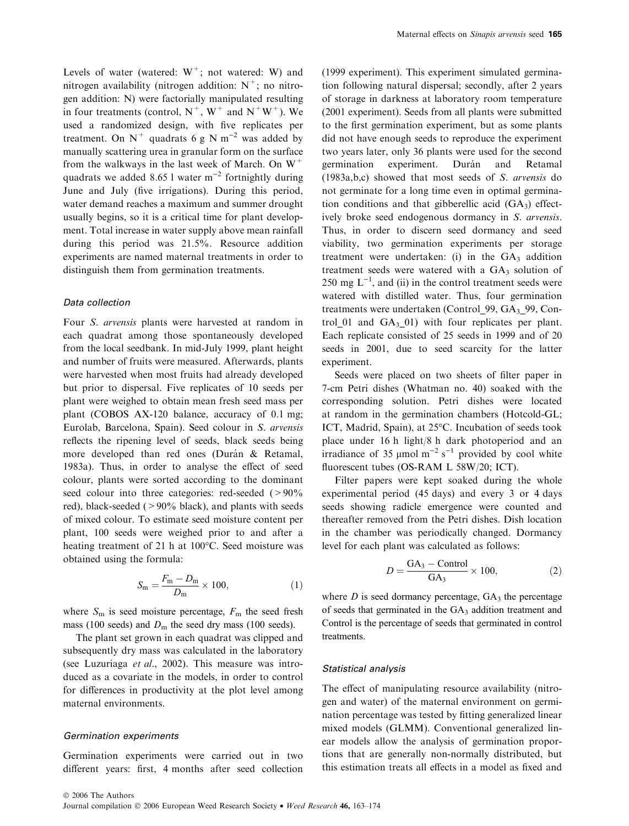Levels of water (watered:  $W^+$ ; not watered: W) and nitrogen availability (nitrogen addition:  $N^+$ ; no nitrogen addition: N) were factorially manipulated resulting in four treatments (control,  $N^+$ ,  $W^+$  and  $N^+W^+$ ). We used a randomized design, with five replicates per treatment. On  $N^+$  quadrats 6 g N m<sup>-2</sup> was added by manually scattering urea in granular form on the surface from the walkways in the last week of March. On  $W^+$ quadrats we added 8.65 l water  $m^{-2}$  fortnightly during June and July (five irrigations). During this period, water demand reaches a maximum and summer drought usually begins, so it is a critical time for plant development. Total increase in water supply above mean rainfall during this period was 21.5%. Resource addition experiments are named maternal treatments in order to distinguish them from germination treatments.

#### Data collection

Four S. arvensis plants were harvested at random in each quadrat among those spontaneously developed from the local seedbank. In mid-July 1999, plant height and number of fruits were measured. Afterwards, plants were harvested when most fruits had already developed but prior to dispersal. Five replicates of 10 seeds per plant were weighed to obtain mean fresh seed mass per plant (COBOS AX-120 balance, accuracy of 0.1 mg; Eurolab, Barcelona, Spain). Seed colour in S. arvensis reflects the ripening level of seeds, black seeds being more developed than red ones (Durán & Retamal, 1983a). Thus, in order to analyse the effect of seed colour, plants were sorted according to the dominant seed colour into three categories: red-seeded  $(>90\%$ red), black-seeded (>90% black), and plants with seeds of mixed colour. To estimate seed moisture content per plant, 100 seeds were weighed prior to and after a heating treatment of 21 h at 100°C. Seed moisture was obtained using the formula:

$$
S_{\rm m} = \frac{F_{\rm m} - D_{\rm m}}{D_{\rm m}} \times 100,\tag{1}
$$

where  $S_m$  is seed moisture percentage,  $F_m$  the seed fresh mass (100 seeds) and  $D<sub>m</sub>$  the seed dry mass (100 seeds).

The plant set grown in each quadrat was clipped and subsequently dry mass was calculated in the laboratory (see Luzuriaga et al., 2002). This measure was introduced as a covariate in the models, in order to control for differences in productivity at the plot level among maternal environments.

#### Germination experiments

Germination experiments were carried out in two different years: first, 4 months after seed collection (1999 experiment). This experiment simulated germination following natural dispersal; secondly, after 2 years of storage in darkness at laboratory room temperature (2001 experiment). Seeds from all plants were submitted to the first germination experiment, but as some plants did not have enough seeds to reproduce the experiment two years later, only 36 plants were used for the second germination experiment. Durán and Retamal (1983a,b,c) showed that most seeds of S. arvensis do not germinate for a long time even in optimal germination conditions and that gibberellic acid  $(GA<sub>3</sub>)$  effectively broke seed endogenous dormancy in S. arvensis. Thus, in order to discern seed dormancy and seed viability, two germination experiments per storage treatment were undertaken: (i) in the  $GA<sub>3</sub>$  addition treatment seeds were watered with a  $GA<sub>3</sub>$  solution of 250 mg  $L^{-1}$ , and (ii) in the control treatment seeds were watered with distilled water. Thus, four germination treatments were undertaken (Control\_99, GA3\_99, Control 01 and  $GA_3$  01) with four replicates per plant. Each replicate consisted of 25 seeds in 1999 and of 20 seeds in 2001, due to seed scarcity for the latter experiment.

Seeds were placed on two sheets of filter paper in 7-cm Petri dishes (Whatman no. 40) soaked with the corresponding solution. Petri dishes were located at random in the germination chambers (Hotcold-GL; ICT, Madrid, Spain), at 25°C. Incubation of seeds took place under 16 h light/8 h dark photoperiod and an irradiance of 35  $\mu$ mol m<sup>-2</sup> s<sup>-1</sup> provided by cool white fluorescent tubes (OS-RAM L 58W/20; ICT).

Filter papers were kept soaked during the whole experimental period (45 days) and every 3 or 4 days seeds showing radicle emergence were counted and thereafter removed from the Petri dishes. Dish location in the chamber was periodically changed. Dormancy level for each plant was calculated as follows:

$$
D = \frac{GA_3 - Control}{GA_3} \times 100,
$$
 (2)

where D is seed dormancy percentage,  $GA_3$  the percentage of seeds that germinated in the GA3 addition treatment and Control is the percentage of seeds that germinated in control treatments.

#### Statistical analysis

The effect of manipulating resource availability (nitrogen and water) of the maternal environment on germination percentage was tested by fitting generalized linear mixed models (GLMM). Conventional generalized linear models allow the analysis of germination proportions that are generally non-normally distributed, but this estimation treats all effects in a model as fixed and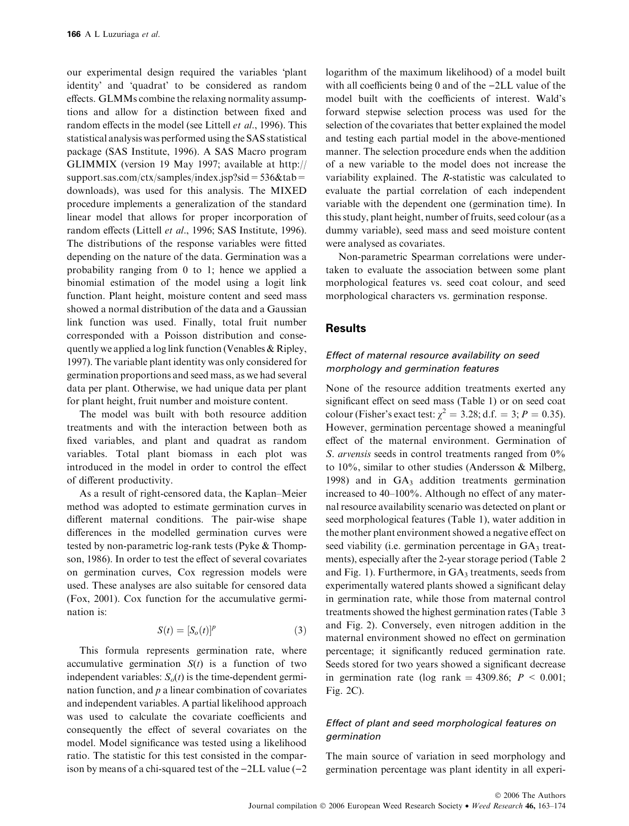our experimental design required the variables 'plant identity' and 'quadrat' to be considered as random effects. GLMMs combine the relaxing normality assumptions and allow for a distinction between fixed and random effects in the model (see Littell et al., 1996). This statistical analysis was performed using the SAS statistical package (SAS Institute, 1996). A SAS Macro program GLIMMIX (version 19 May 1997; available at http:// support.sas.com/ctx/samples/index.jsp?sid=536&tab= downloads), was used for this analysis. The MIXED procedure implements a generalization of the standard linear model that allows for proper incorporation of random effects (Littell et al., 1996; SAS Institute, 1996). The distributions of the response variables were fitted depending on the nature of the data. Germination was a probability ranging from 0 to 1; hence we applied a binomial estimation of the model using a logit link function. Plant height, moisture content and seed mass showed a normal distribution of the data and a Gaussian link function was used. Finally, total fruit number corresponded with a Poisson distribution and consequently we applied a log link function (Venables  $\&$  Ripley, 1997). The variable plant identity was only considered for germination proportions and seed mass, as we had several data per plant. Otherwise, we had unique data per plant for plant height, fruit number and moisture content.

The model was built with both resource addition treatments and with the interaction between both as fixed variables, and plant and quadrat as random variables. Total plant biomass in each plot was introduced in the model in order to control the effect of different productivity.

As a result of right-censored data, the Kaplan–Meier method was adopted to estimate germination curves in different maternal conditions. The pair-wise shape differences in the modelled germination curves were tested by non-parametric log-rank tests (Pyke & Thompson, 1986). In order to test the effect of several covariates on germination curves, Cox regression models were used. These analyses are also suitable for censored data (Fox, 2001). Cox function for the accumulative germination is:

$$
S(t) = [S_o(t)]^p \tag{3}
$$

This formula represents germination rate, where accumulative germination  $S(t)$  is a function of two independent variables:  $S<sub>o</sub>(t)$  is the time-dependent germination function, and  $p$  a linear combination of covariates and independent variables. A partial likelihood approach was used to calculate the covariate coefficients and consequently the effect of several covariates on the model. Model significance was tested using a likelihood ratio. The statistic for this test consisted in the comparison by means of a chi-squared test of the  $-2LL$  value ( $-2$ ) logarithm of the maximum likelihood) of a model built with all coefficients being  $\theta$  and of the  $-2LL$  value of the model built with the coefficients of interest. Wald's forward stepwise selection process was used for the selection of the covariates that better explained the model and testing each partial model in the above-mentioned manner. The selection procedure ends when the addition of a new variable to the model does not increase the variability explained. The R-statistic was calculated to evaluate the partial correlation of each independent variable with the dependent one (germination time). In this study, plant height, number of fruits, seed colour (as a dummy variable), seed mass and seed moisture content were analysed as covariates.

Non-parametric Spearman correlations were undertaken to evaluate the association between some plant morphological features vs. seed coat colour, and seed morphological characters vs. germination response.

## **Results**

## Effect of maternal resource availability on seed morphology and germination features

None of the resource addition treatments exerted any significant effect on seed mass (Table 1) or on seed coat colour (Fisher's exact test:  $\chi^2 = 3.28$ ; d.f. = 3; P = 0.35). However, germination percentage showed a meaningful effect of the maternal environment. Germination of S. *arvensis* seeds in control treatments ranged from  $0\%$ to 10%, similar to other studies (Andersson & Milberg, 1998) and in  $GA_3$  addition treatments germination increased to 40–100%. Although no effect of any maternal resource availability scenario was detected on plant or seed morphological features (Table 1), water addition in the mother plant environment showed a negative effect on seed viability (i.e. germination percentage in  $GA<sub>3</sub>$  treatments), especially after the 2-year storage period (Table 2 and Fig. 1). Furthermore, in  $GA<sub>3</sub>$  treatments, seeds from experimentally watered plants showed a significant delay in germination rate, while those from maternal control treatments showed the highest germination rates (Table 3 and Fig. 2). Conversely, even nitrogen addition in the maternal environment showed no effect on germination percentage; it significantly reduced germination rate. Seeds stored for two years showed a significant decrease in germination rate (log rank = 4309.86;  $P < 0.001$ ; Fig. 2C).

#### Effect of plant and seed morphological features on germination

The main source of variation in seed morphology and germination percentage was plant identity in all experi-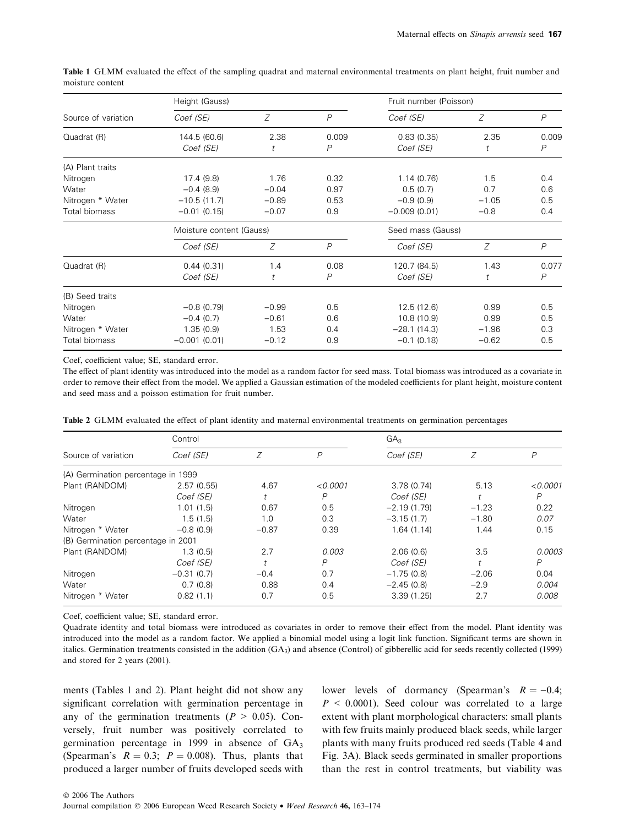|                     | Height (Gauss)           |               |              | Fruit number (Poisson) |              |                |
|---------------------|--------------------------|---------------|--------------|------------------------|--------------|----------------|
| Source of variation | Coef (SE)                | Z             | $\mathsf{P}$ | Coef (SE)              | Z            | $\overline{P}$ |
| Quadrat (R)         | 144.5 (60.6)             | 2.38          | 0.009        | 0.83(0.35)             | 2.35         | 0.009          |
|                     | Coef (SE)                | t             | P            | Coef (SE)              | t            | P              |
| (A) Plant traits    |                          |               |              |                        |              |                |
| Nitrogen            | 17.4 (9.8)               | 1.76          | 0.32         | 1.14(0.76)             | 1.5          | 0.4            |
| Water               | $-0.4(8.9)$              | $-0.04$       | 0.97         | 0.5(0.7)               | 0.7          | 0.6            |
| Nitrogen * Water    | $-10.5(11.7)$            | $-0.89$       | 0.53         | $-0.9(0.9)$            | $-1.05$      | 0.5            |
| Total biomass       | $-0.01(0.15)$            | $-0.07$       | 0.9          | $-0.009(0.01)$         | $-0.8$       | 0.4            |
|                     | Moisture content (Gauss) |               |              | Seed mass (Gauss)      |              |                |
|                     | Coef (SE)                | Ζ             | P            | Coef (SE)              | Z            | $\mathcal{P}$  |
| Quadrat (R)         | 0.44(0.31)               | 1.4           | 0.08         | 120.7 (84.5)           | 1.43         | 0.077          |
|                     | Coef (SE)                | $\ddot{\tau}$ | $\mathsf{P}$ | Coef (SE)              | $\dot{\tau}$ | P              |
| (B) Seed traits     |                          |               |              |                        |              |                |
| Nitrogen            | $-0.8(0.79)$             | $-0.99$       | 0.5          | 12.5(12.6)             | 0.99         | 0.5            |
| Water               | $-0.4(0.7)$              | $-0.61$       | 0.6          | 10.8 (10.9)            | 0.99         | 0.5            |
| Nitrogen * Water    | 1.35(0.9)                | 1.53          | 0.4          | $-28.1(14.3)$          | $-1.96$      | 0.3            |
| Total biomass       | $-0.001(0.01)$           | $-0.12$       | 0.9          | $-0.1(0.18)$           | $-0.62$      | 0.5            |

Table 1 GLMM evaluated the effect of the sampling quadrat and maternal environmental treatments on plant height, fruit number and moisture content

Coef, coefficient value; SE, standard error.

The effect of plant identity was introduced into the model as a random factor for seed mass. Total biomass was introduced as a covariate in order to remove their effect from the model. We applied a Gaussian estimation of the modeled coefficients for plant height, moisture content and seed mass and a poisson estimation for fruit number.

|          | Table 2 GLMM evaluated the effect of plant identity and maternal environmental treatments on germination percentages |
|----------|----------------------------------------------------------------------------------------------------------------------|
| Control⊹ | GA2                                                                                                                  |
|          |                                                                                                                      |

|                                    | <b>UUITUU</b> |         |          | SUR           |         |          |  |
|------------------------------------|---------------|---------|----------|---------------|---------|----------|--|
| Source of variation                | Coef (SE)     | Ζ       | P        | Coef (SE)     | Ζ       | P        |  |
| (A) Germination percentage in 1999 |               |         |          |               |         |          |  |
| Plant (RANDOM)                     | 2.57(0.55)    | 4.67    | < 0.0001 | 3.78(0.74)    | 5.13    | < 0.0001 |  |
|                                    | Coef (SE)     | t       | P        | Coef (SE)     |         | Ρ        |  |
| Nitrogen                           | 1.01(1.5)     | 0.67    | 0.5      | $-2.19(1.79)$ | $-1.23$ | 0.22     |  |
| Water                              | 1.5(1.5)      | 1.0     | 0.3      | $-3.15(1.7)$  | $-1.80$ | 0.07     |  |
| Nitrogen * Water                   | $-0.8(0.9)$   | $-0.87$ | 0.39     | 1.64(1.14)    | 1.44    | 0.15     |  |
| (B) Germination percentage in 2001 |               |         |          |               |         |          |  |
| Plant (RANDOM)                     | 1.3(0.5)      | 2.7     | 0.003    | 2.06(0.6)     | 3.5     | 0.0003   |  |
|                                    | Coef (SE)     | t       | P        | Coef (SE)     |         | Ρ        |  |
| Nitrogen                           | $-0.31(0.7)$  | $-0.4$  | 0.7      | $-1.75(0.8)$  | $-2.06$ | 0.04     |  |
| Water                              | 0.7(0.8)      | 0.88    | 0.4      | $-2.45(0.8)$  | $-2.9$  | 0.004    |  |
| Nitrogen * Water                   | 0.82(1.1)     | 0.7     | 0.5      | 3.39(1.25)    | 2.7     | 0.008    |  |

Coef, coefficient value; SE, standard error.

Quadrate identity and total biomass were introduced as covariates in order to remove their effect from the model. Plant identity was introduced into the model as a random factor. We applied a binomial model using a logit link function. Significant terms are shown in italics. Germination treatments consisted in the addition  $(GA<sub>3</sub>)$  and absence (Control) of gibberellic acid for seeds recently collected (1999) and stored for 2 years (2001).

ments (Tables 1 and 2). Plant height did not show any significant correlation with germination percentage in any of the germination treatments ( $P > 0.05$ ). Conversely, fruit number was positively correlated to germination percentage in 1999 in absence of  $GA_3$ (Spearman's  $R = 0.3$ ;  $P = 0.008$ ). Thus, plants that produced a larger number of fruits developed seeds with lower levels of dormancy (Spearman's  $R = -0.4$ ;  $P < 0.0001$ ). Seed colour was correlated to a large extent with plant morphological characters: small plants with few fruits mainly produced black seeds, while larger plants with many fruits produced red seeds (Table 4 and Fig. 3A). Black seeds germinated in smaller proportions than the rest in control treatments, but viability was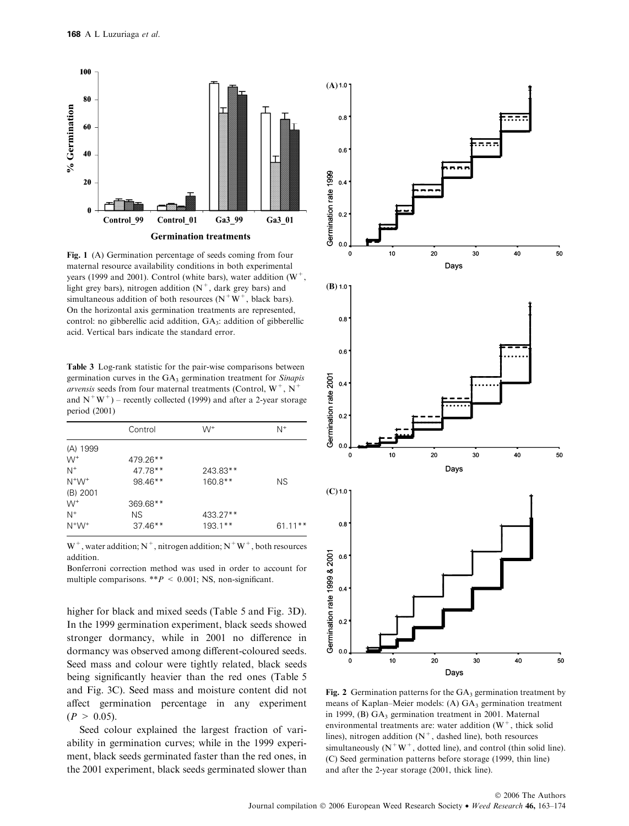

Fig. 1 (A) Germination percentage of seeds coming from four maternal resource availability conditions in both experimental years (1999 and 2001). Control (white bars), water addition  $(W^+,$ light grey bars), nitrogen addition  $(N^+$ , dark grey bars) and simultaneous addition of both resources  $(N^+W^+$ , black bars). On the horizontal axis germination treatments are represented, control: no gibberellic acid addition,  $GA_3$ : addition of gibberellic acid. Vertical bars indicate the standard error.

Table 3 Log-rank statistic for the pair-wise comparisons between germination curves in the  $GA_3$  germination treatment for Sinapis *arvensis* seeds from four maternal treatments (Control,  $W^+$ ,  $N^+$ and  $N^+W^+$ ) – recently collected (1999) and after a 2-year storage period (2001)

|          | Control   | $W^+$      | $N^+$     |
|----------|-----------|------------|-----------|
| (A) 1999 |           |            |           |
| $W^+$    | 479.26**  |            |           |
| $N^+$    | 47.78**   | 243.83**   |           |
| $N^+W^+$ | 98.46**   | $160.8**$  | <b>NS</b> |
| (B) 2001 |           |            |           |
| $W^+$    | 369.68**  |            |           |
| $N^+$    | NS.       | $433.27**$ |           |
| $N^+W^+$ | $37.46**$ | $193.1**$  | $61.11**$ |

 $W^+$ , water addition;  $N^+$ , nitrogen addition;  $N^+W^+$ , both resources addition.

Bonferroni correction method was used in order to account for multiple comparisons.  $*P < 0.001$ ; NS, non-significant.

higher for black and mixed seeds (Table 5 and Fig. 3D). In the 1999 germination experiment, black seeds showed stronger dormancy, while in 2001 no difference in dormancy was observed among different-coloured seeds. Seed mass and colour were tightly related, black seeds being significantly heavier than the red ones (Table 5 and Fig. 3C). Seed mass and moisture content did not affect germination percentage in any experiment  $(P > 0.05)$ .

Seed colour explained the largest fraction of variability in germination curves; while in the 1999 experiment, black seeds germinated faster than the red ones, in the 2001 experiment, black seeds germinated slower than



Fig. 2 Germination patterns for the  $GA_3$  germination treatment by means of Kaplan–Meier models: (A) GA<sub>3</sub> germination treatment in 1999, (B) GA<sub>3</sub> germination treatment in 2001. Maternal environmental treatments are: water addition  $(W^+$ , thick solid lines), nitrogen addition  $(N^+$ , dashed line), both resources simultaneously  $(N^+W^+$ , dotted line), and control (thin solid line). (C) Seed germination patterns before storage (1999, thin line) and after the 2-year storage (2001, thick line).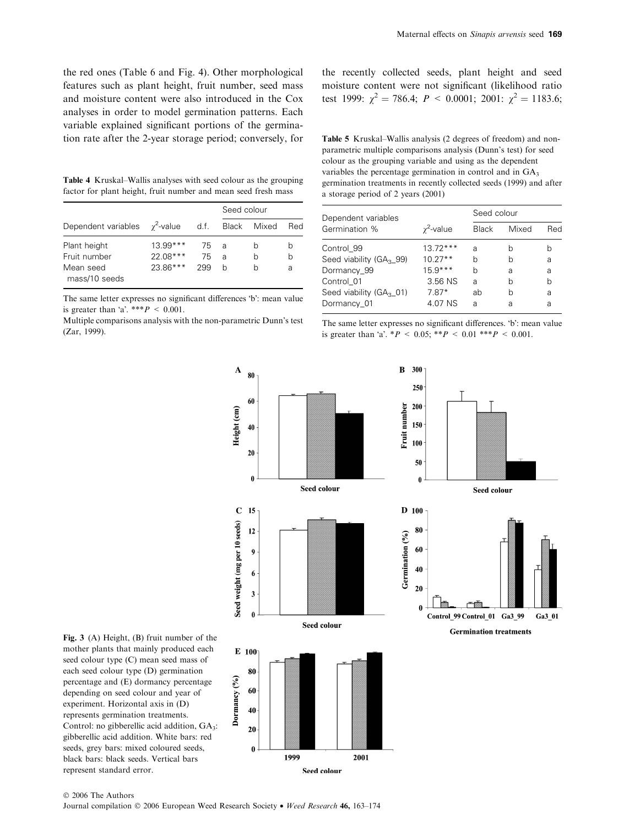Table 4 Kruskal–Wallis analyses with seed colour as the grouping factor for plant height, fruit number and mean seed fresh mass

|                                     |                          |           | Seed colour       |       |        |
|-------------------------------------|--------------------------|-----------|-------------------|-------|--------|
| Dependent variables $\chi^2$ -value |                          | d.f.      | Black             | Mixed | Red    |
| Plant height<br>Fruit number        | $13.99***$<br>$22.08***$ | 75.<br>75 | <sup>a</sup><br>a | h     | b<br>b |
| Mean seed<br>mass/10 seeds          | 23.86***                 | 299       | h                 |       | a      |

The same letter expresses no significant differences 'b': mean value is greater than 'a'.  $***P < 0.001$ .

Multiple comparisons analysis with the non-parametric Dunn's test (Zar, 1999).

the recently collected seeds, plant height and seed moisture content were not significant (likelihood ratio test 1999:  $\chi^2 = 786.4$ ;  $P < 0.0001$ ; 2001:  $\chi^2 = 1183.6$ ;

Table 5 Kruskal–Wallis analysis (2 degrees of freedom) and nonparametric multiple comparisons analysis (Dunn's test) for seed colour as the grouping variable and using as the dependent variables the percentage germination in control and in  $GA<sub>3</sub>$ germination treatments in recently collected seeds (1999) and after a storage period of 2 years (2001)

| Dependent variables                  |                   |              | Seed colour |     |  |
|--------------------------------------|-------------------|--------------|-------------|-----|--|
| Germination %                        | $\gamma^2$ -value | <b>Black</b> | Mixed       | Red |  |
| Control 99                           | $13.72***$        | a            | h           |     |  |
| Seed viability (GA <sub>3</sub> _99) | $10.27**$         | h            | h           | a   |  |
| Dormancy 99                          | $15.9***$         | h            | a           | a   |  |
| Control 01                           | 3.56 NS           | a            | h           | h   |  |
| Seed viability $(GA_3_01)$           | $7.87*$           | ab           | h           | a   |  |
| Dormancy 01                          | 4.07 NS           | a            | a           | a   |  |

The same letter expresses no significant differences. 'b': mean value is greater than 'a'.  $*P < 0.05$ ;  $*P < 0.01$   $**P < 0.001$ .

Ga3\_01



Fig. 3 (A) Height, (B) fruit number of the mother plants that mainly produced each seed colour type (C) mean seed mass of each seed colour type (D) germination percentage and (E) dormancy percentage depending on seed colour and year of experiment. Horizontal axis in (D) represents germination treatments. Control: no gibberellic acid addition, GA<sub>3</sub>: gibberellic acid addition. White bars: red seeds, grey bars: mixed coloured seeds, black bars: black seeds. Vertical bars represent standard error.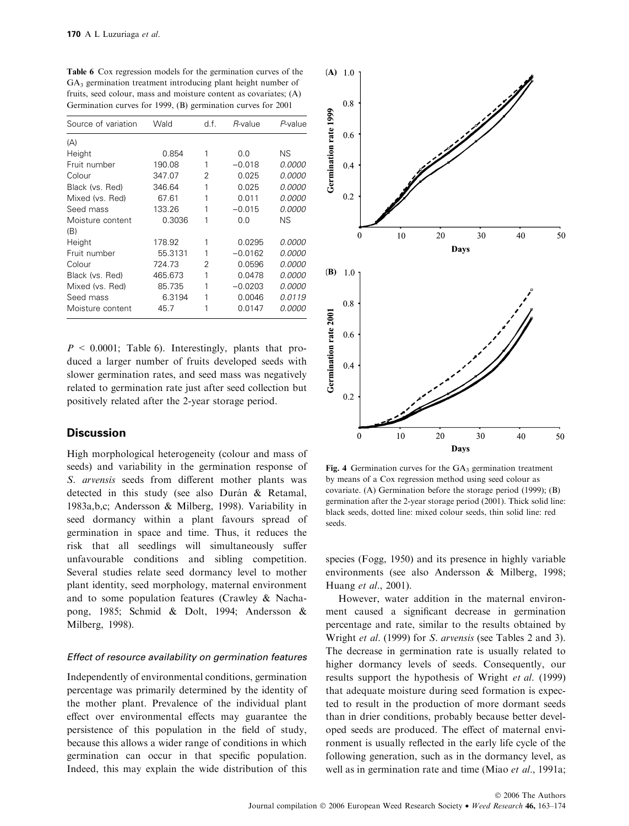Table 6 Cox regression models for the germination curves of the GA3 germination treatment introducing plant height number of fruits, seed colour, mass and moisture content as covariates; (A) Germination curves for 1999, (B) germination curves for 2001

| Source of variation | Wald    | df. | R-value   | P-value       |
|---------------------|---------|-----|-----------|---------------|
| (A)                 |         |     |           |               |
| Height              | 0.854   | 1   | 0.0       | NS.           |
| Fruit number        | 190.08  | 1   | $-0.018$  | <i>0.0000</i> |
| Colour              | 347.07  | 2   | 0.025     | <i>0.0000</i> |
| Black (vs. Red)     | 346.64  | 1   | 0.025     | 0.0000        |
| Mixed (vs. Red)     | 67.61   |     | 0.011     | 0.0000        |
| Seed mass           | 133.26  |     | $-0.015$  | 0.0000        |
| Moisture content    | 0.3036  | 1   | 0.0       | NS.           |
| (B)                 |         |     |           |               |
| Height              | 178.92  | 1   | 0.0295    | <i>0.0000</i> |
| Fruit number        | 55.3131 | 1   | $-0.0162$ | 0.0000        |
| Colour              | 724.73  | 2   | 0.0596    | 0.0000        |
| Black (vs. Red)     | 465.673 | 1   | 0.0478    | 0.0000        |
| Mixed (vs. Red)     | 85.735  | 1   | $-0.0203$ | 0.0000        |
| Seed mass           | 6.3194  | 1   | 0.0046    | 0.0119        |
| Moisture content    | 45.7    |     | 0.0147    | 0.0000        |

 $P \le 0.0001$ ; Table 6). Interestingly, plants that produced a larger number of fruits developed seeds with slower germination rates, and seed mass was negatively related to germination rate just after seed collection but positively related after the 2-year storage period.

# **Discussion**

High morphological heterogeneity (colour and mass of seeds) and variability in the germination response of S. arvensis seeds from different mother plants was detected in this study (see also Durán & Retamal, 1983a,b,c; Andersson & Milberg, 1998). Variability in seed dormancy within a plant favours spread of germination in space and time. Thus, it reduces the risk that all seedlings will simultaneously suffer unfavourable conditions and sibling competition. Several studies relate seed dormancy level to mother plant identity, seed morphology, maternal environment and to some population features (Crawley & Nachapong, 1985; Schmid & Dolt, 1994; Andersson & Milberg, 1998).

#### Effect of resource availability on germination features

Independently of environmental conditions, germination percentage was primarily determined by the identity of the mother plant. Prevalence of the individual plant effect over environmental effects may guarantee the persistence of this population in the field of study, because this allows a wider range of conditions in which germination can occur in that specific population. Indeed, this may explain the wide distribution of this



Fig. 4 Germination curves for the  $GA_3$  germination treatment by means of a Cox regression method using seed colour as covariate. (A) Germination before the storage period (1999); (B) germination after the 2-year storage period (2001). Thick solid line: black seeds, dotted line: mixed colour seeds, thin solid line: red seeds.

species (Fogg, 1950) and its presence in highly variable environments (see also Andersson & Milberg, 1998; Huang et al., 2001).

However, water addition in the maternal environment caused a significant decrease in germination percentage and rate, similar to the results obtained by Wright et al. (1999) for S. arvensis (see Tables 2 and 3). The decrease in germination rate is usually related to higher dormancy levels of seeds. Consequently, our results support the hypothesis of Wright et al. (1999) that adequate moisture during seed formation is expected to result in the production of more dormant seeds than in drier conditions, probably because better developed seeds are produced. The effect of maternal environment is usually reflected in the early life cycle of the following generation, such as in the dormancy level, as well as in germination rate and time (Miao et al., 1991a;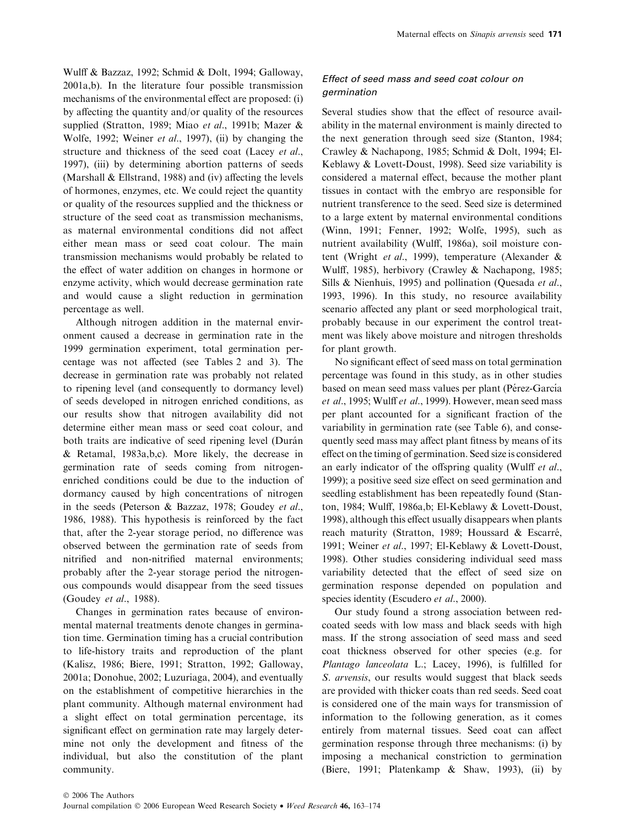Wulff & Bazzaz, 1992; Schmid & Dolt, 1994; Galloway, 2001a,b). In the literature four possible transmission mechanisms of the environmental effect are proposed: (i) by affecting the quantity and/or quality of the resources supplied (Stratton, 1989; Miao et al., 1991b; Mazer & Wolfe, 1992; Weiner et al., 1997), (ii) by changing the structure and thickness of the seed coat (Lacey et al., 1997), (iii) by determining abortion patterns of seeds (Marshall & Ellstrand, 1988) and (iv) affecting the levels of hormones, enzymes, etc. We could reject the quantity or quality of the resources supplied and the thickness or structure of the seed coat as transmission mechanisms, as maternal environmental conditions did not affect either mean mass or seed coat colour. The main transmission mechanisms would probably be related to the effect of water addition on changes in hormone or enzyme activity, which would decrease germination rate and would cause a slight reduction in germination percentage as well.

Although nitrogen addition in the maternal environment caused a decrease in germination rate in the 1999 germination experiment, total germination percentage was not affected (see Tables 2 and 3). The decrease in germination rate was probably not related to ripening level (and consequently to dormancy level) of seeds developed in nitrogen enriched conditions, as our results show that nitrogen availability did not determine either mean mass or seed coat colour, and both traits are indicative of seed ripening level (Durán & Retamal, 1983a,b,c). More likely, the decrease in germination rate of seeds coming from nitrogenenriched conditions could be due to the induction of dormancy caused by high concentrations of nitrogen in the seeds (Peterson & Bazzaz, 1978; Goudey et al., 1986, 1988). This hypothesis is reinforced by the fact that, after the 2-year storage period, no difference was observed between the germination rate of seeds from nitrified and non-nitrified maternal environments; probably after the 2-year storage period the nitrogenous compounds would disappear from the seed tissues (Goudey et al., 1988).

Changes in germination rates because of environmental maternal treatments denote changes in germination time. Germination timing has a crucial contribution to life-history traits and reproduction of the plant (Kalisz, 1986; Biere, 1991; Stratton, 1992; Galloway, 2001a; Donohue, 2002; Luzuriaga, 2004), and eventually on the establishment of competitive hierarchies in the plant community. Although maternal environment had a slight effect on total germination percentage, its significant effect on germination rate may largely determine not only the development and fitness of the individual, but also the constitution of the plant community.

# Effect of seed mass and seed coat colour on germination

Several studies show that the effect of resource availability in the maternal environment is mainly directed to the next generation through seed size (Stanton, 1984; Crawley & Nachapong, 1985; Schmid & Dolt, 1994; El-Keblawy & Lovett-Doust, 1998). Seed size variability is considered a maternal effect, because the mother plant tissues in contact with the embryo are responsible for nutrient transference to the seed. Seed size is determined to a large extent by maternal environmental conditions (Winn, 1991; Fenner, 1992; Wolfe, 1995), such as nutrient availability (Wulff, 1986a), soil moisture content (Wright et al., 1999), temperature (Alexander & Wulff, 1985), herbivory (Crawley & Nachapong, 1985; Sills & Nienhuis, 1995) and pollination (Quesada et al., 1993, 1996). In this study, no resource availability scenario affected any plant or seed morphological trait, probably because in our experiment the control treatment was likely above moisture and nitrogen thresholds for plant growth.

No significant effect of seed mass on total germination percentage was found in this study, as in other studies based on mean seed mass values per plant (Pérez-García et al., 1995; Wulff et al., 1999). However, mean seed mass per plant accounted for a significant fraction of the variability in germination rate (see Table 6), and consequently seed mass may affect plant fitness by means of its effect on the timing of germination. Seed size is considered an early indicator of the offspring quality (Wulff et al., 1999); a positive seed size effect on seed germination and seedling establishment has been repeatedly found (Stanton, 1984; Wulff, 1986a,b; El-Keblawy & Lovett-Doust, 1998), although this effect usually disappears when plants reach maturity (Stratton, 1989; Houssard & Escarré, 1991; Weiner et al., 1997; El-Keblawy & Lovett-Doust, 1998). Other studies considering individual seed mass variability detected that the effect of seed size on germination response depended on population and species identity (Escudero et al., 2000).

Our study found a strong association between redcoated seeds with low mass and black seeds with high mass. If the strong association of seed mass and seed coat thickness observed for other species (e.g. for Plantago lanceolata L.; Lacey, 1996), is fulfilled for S. arvensis, our results would suggest that black seeds are provided with thicker coats than red seeds. Seed coat is considered one of the main ways for transmission of information to the following generation, as it comes entirely from maternal tissues. Seed coat can affect germination response through three mechanisms: (i) by imposing a mechanical constriction to germination (Biere, 1991; Platenkamp & Shaw, 1993), (ii) by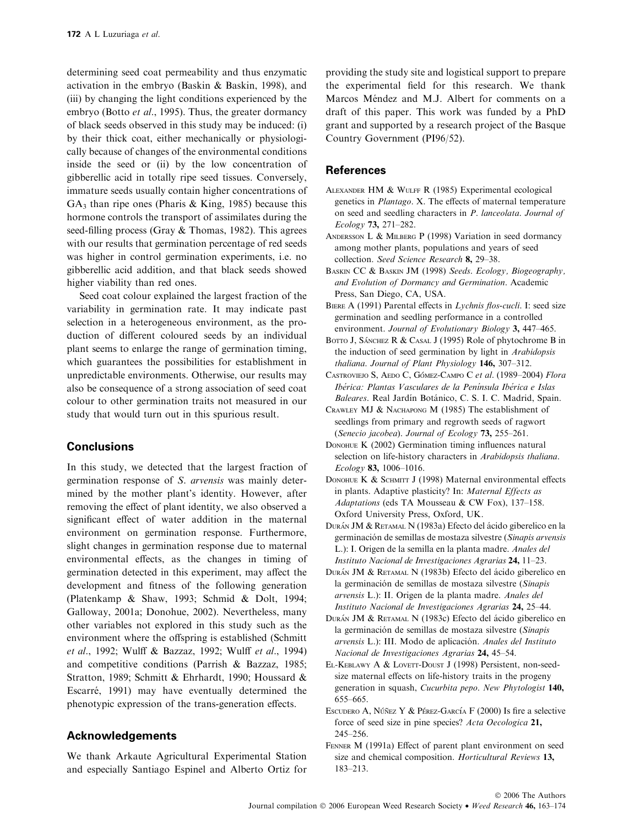determining seed coat permeability and thus enzymatic activation in the embryo (Baskin & Baskin, 1998), and (iii) by changing the light conditions experienced by the embryo (Botto *et al.*, 1995). Thus, the greater dormancy of black seeds observed in this study may be induced: (i) by their thick coat, either mechanically or physiologically because of changes of the environmental conditions inside the seed or (ii) by the low concentration of gibberellic acid in totally ripe seed tissues. Conversely, immature seeds usually contain higher concentrations of  $GA<sub>3</sub>$  than ripe ones (Pharis & King, 1985) because this hormone controls the transport of assimilates during the seed-filling process (Gray & Thomas, 1982). This agrees with our results that germination percentage of red seeds was higher in control germination experiments, i.e. no gibberellic acid addition, and that black seeds showed higher viability than red ones.

Seed coat colour explained the largest fraction of the variability in germination rate. It may indicate past selection in a heterogeneous environment, as the production of different coloured seeds by an individual plant seems to enlarge the range of germination timing, which guarantees the possibilities for establishment in unpredictable environments. Otherwise, our results may also be consequence of a strong association of seed coat colour to other germination traits not measured in our study that would turn out in this spurious result.

# **Conclusions**

In this study, we detected that the largest fraction of germination response of S. arvensis was mainly determined by the mother plant's identity. However, after removing the effect of plant identity, we also observed a significant effect of water addition in the maternal environment on germination response. Furthermore, slight changes in germination response due to maternal environmental effects, as the changes in timing of germination detected in this experiment, may affect the development and fitness of the following generation (Platenkamp & Shaw, 1993; Schmid & Dolt, 1994; Galloway, 2001a; Donohue, 2002). Nevertheless, many other variables not explored in this study such as the environment where the offspring is established (Schmitt et al., 1992; Wulff & Bazzaz, 1992; Wulff et al., 1994) and competitive conditions (Parrish & Bazzaz, 1985; Stratton, 1989; Schmitt & Ehrhardt, 1990; Houssard & Escarré, 1991) may have eventually determined the phenotypic expression of the trans-generation effects.

## Acknowledgements

We thank Arkaute Agricultural Experimental Station and especially Santiago Espinel and Alberto Ortiz for

providing the study site and logistical support to prepare the experimental field for this research. We thank Marcos Méndez and M.J. Albert for comments on a draft of this paper. This work was funded by a PhD grant and supported by a research project of the Basque Country Government (PI96/52).

# **References**

- Alexander HM & Wulff R (1985) Experimental ecological genetics in Plantago. X. The effects of maternal temperature on seed and seedling characters in P. lanceolata. Journal of Ecology 73, 271–282.
- Andersson L & Milberg P (1998) Variation in seed dormancy among mother plants, populations and years of seed collection. Seed Science Research 8, 29-38.
- Baskin CC & Baskin JM (1998) Seeds. Ecology, Biogeography, and Evolution of Dormancy and Germination. Academic Press, San Diego, CA, USA.
- BIERE A (1991) Parental effects in Lychnis flos-cucli. I: seed size germination and seedling performance in a controlled environment. Journal of Evolutionary Biology 3, 447–465.
- BOTTO J, SÁNCHEZ R & CASAL J (1995) Role of phytochrome B in the induction of seed germination by light in Arabidopsis thaliana. Journal of Plant Physiology 146, 307–312.
- CASTROVIEJO S, AEDO C, GÓMEZ-CAMPO C et al. (1989–2004) Flora Ibérica: Plantas Vasculares de la Península Ibérica e Islas Baleares. Real Jardín Botánico, C. S. I. C. Madrid, Spain.
- Crawley MJ & Nachapong M (1985) The establishment of seedlings from primary and regrowth seeds of ragwort (Senecio jacobea). Journal of Ecology  $73$ ,  $255-261$ .
- Donohue K (2002) Germination timing influences natural selection on life-history characters in Arabidopsis thaliana. Ecology 83, 1006–1016.
- DONOHUE K & SCHMITT J (1998) Maternal environmental effects in plants. Adaptive plasticity? In: Maternal Effects as Adaptations (eds TA Mousseau & CW Fox), 137-158. Oxford University Press, Oxford, UK.
- DURÁN JM & RETAMAL N (1983a) Efecto del ácido giberelico en la germinación de semillas de mostaza silvestre (Sinapis arvensis L.): I. Origen de la semilla en la planta madre. Anales del Instituto Nacional de Investigaciones Agrarias 24, 11–23.
- DURÁN JM & RETAMAL N (1983b) Efecto del ácido giberelico en la germinación de semillas de mostaza silvestre (Sinapis arvensis L.): II. Origen de la planta madre. Anales del Instituto Nacional de Investigaciones Agrarias 24, 25–44.
- DURÁN JM & RETAMAL N (1983c) Efecto del ácido giberelico en la germinación de semillas de mostaza silvestre (Sinapis arvensis L.): III. Modo de aplicación. Anales del Instituto Nacional de Investigaciones Agrarias 24, 45–54.
- EL-KEBLAWY A & LOVETT-DOUST J (1998) Persistent, non-seedsize maternal effects on life-history traits in the progeny generation in squash, Cucurbita pepo. New Phytologist 140, 655–665.
- ESCUDERO A, NÚÑEZ Y & PÉREZ-GARCÍA F (2000) Is fire a selective force of seed size in pine species? Acta Oecologica 21, 245–256.
- Fenner M (1991a) Effect of parent plant environment on seed size and chemical composition. Horticultural Reviews 13, 183–213.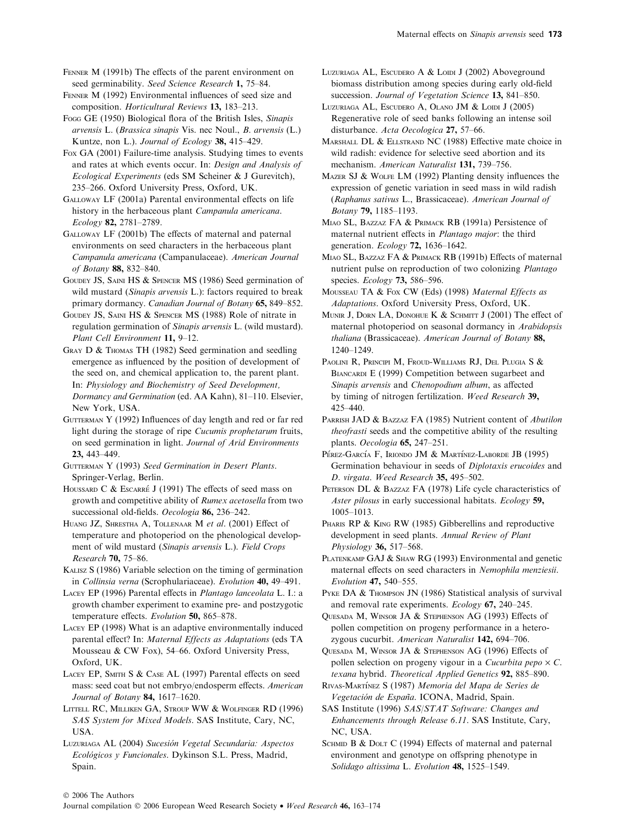FENNER M (1991b) The effects of the parent environment on seed germinability. Seed Science Research 1, 75–84.

Fenner M (1992) Environmental influences of seed size and composition. Horticultural Reviews 13, 183–213.

Fogg GE (1950) Biological flora of the British Isles, Sinapis arvensis L. (Brassica sinapis Vis. nec Noul., B. arvensis (L.) Kuntze, non L.). Journal of Ecology 38, 415–429.

Fox GA (2001) Failure-time analysis. Studying times to events and rates at which events occur. In: Design and Analysis of Ecological Experiments (eds SM Scheiner & J Gurevitch), 235–266. Oxford University Press, Oxford, UK.

Galloway LF (2001a) Parental environmental effects on life history in the herbaceous plant Campanula americana. Ecology 82, 2781–2789.

Galloway LF (2001b) The effects of maternal and paternal environments on seed characters in the herbaceous plant Campanula americana (Campanulaceae). American Journal of Botany 88, 832–840.

GOUDEY JS, SAINI HS & SPENCER MS (1986) Seed germination of wild mustard (Sinapis arvensis L.): factors required to break primary dormancy. Canadian Journal of Botany 65, 849–852.

Goudey JS, Saini HS & Spencer MS (1988) Role of nitrate in regulation germination of Sinapis arvensis L. (wild mustard). Plant Cell Environment 11, 9–12.

Gray D & Thomas TH (1982) Seed germination and seedling emergence as influenced by the position of development of the seed on, and chemical application to, the parent plant. In: Physiology and Biochemistry of Seed Development, Dormancy and Germination (ed. AA Kahn), 81–110. Elsevier, New York, USA.

GUTTERMAN Y (1992) Influences of day length and red or far red light during the storage of ripe Cucumis prophetarum fruits, on seed germination in light. Journal of Arid Environments 23, 443–449.

GUTTERMAN Y (1993) Seed Germination in Desert Plants. Springer-Verlag, Berlin.

HOUSSARD C & ESCARRÉ J (1991) The effects of seed mass on growth and competitive ability of Rumex acetosella from two successional old-fields. Oecologia 86, 236–242.

HUANG JZ, SHRESTHA A, TOLLENAAR M et al. (2001) Effect of temperature and photoperiod on the phenological development of wild mustard (Sinapis arvensis L.). Field Crops Research 70, 75–86.

Kalisz S (1986) Variable selection on the timing of germination in Collinsia verna (Scrophulariaceae). Evolution 40, 49–491.

LACEY EP (1996) Parental effects in Plantago lanceolata L. I.: a growth chamber experiment to examine pre- and postzygotic temperature effects. Evolution 50, 865-878.

Lacey EP (1998) What is an adaptive environmentally induced parental effect? In: Maternal Effects as Adaptations (eds TA Mousseau & CW Fox), 54–66. Oxford University Press, Oxford, UK.

LACEY EP, SMITH S & CASE AL (1997) Parental effects on seed mass: seed coat but not embryo/endosperm effects. American Journal of Botany 84, 1617–1620.

LITTELL RC, MILLIKEN GA, STROUP WW & WOLFINGER RD (1996) SAS System for Mixed Models. SAS Institute, Cary, NC, USA.

LUZURIAGA AL (2004) Sucesión Vegetal Secundaria: Aspectos Ecológicos y Funcionales. Dykinson S.L. Press, Madrid, Spain.

LUZURIAGA AL, Escudero A & Loidi J (2002) Aboveground biomass distribution among species during early old-field succession. Journal of Vegetation Science 13, 841-850.

LUZURIAGA AL, ESCUDERO A, OLANO JM & LOIDI J (2005) Regenerative role of seed banks following an intense soil disturbance. Acta Oecologica 27, 57–66.

Marshall DL & Ellstrand NC (1988) Effective mate choice in wild radish: evidence for selective seed abortion and its mechanism. American Naturalist 131, 739–756.

Mazer SJ & Wolfe LM (1992) Planting density influences the expression of genetic variation in seed mass in wild radish (Raphanus sativus L., Brassicaceae). American Journal of Botany 79, 1185–1193.

Miao SL, Bazzaz FA & Primack RB (1991a) Persistence of maternal nutrient effects in Plantago major: the third generation. Ecology 72, 1636–1642.

Miao SL, Bazzaz FA & Primack RB (1991b) Effects of maternal nutrient pulse on reproduction of two colonizing Plantago species. *Ecology* **73**, 586–596.

Mousseau TA & Fox CW (Eds) (1998) Maternal Effects as Adaptations. Oxford University Press, Oxford, UK.

MUNIR J, DORN LA, DONOHUE K & SCHMITT J (2001) The effect of maternal photoperiod on seasonal dormancy in Arabidopsis thaliana (Brassicaceae). American Journal of Botany 88, 1240–1249.

Paolini R, Principi M, Froud-Williams RJ, Del Plugia S & BIANCARDI E (1999) Competition between sugarbeet and Sinapis arvensis and Chenopodium album, as affected by timing of nitrogen fertilization. Weed Research 39, 425–440.

PARRISH JAD & BAZZAZ FA (1985) Nutrient content of Abutilon theofrasti seeds and the competitive ability of the resulting plants. Oecologia 65, 247–251.

Pérez-García F, Iriondo JM & Martínez-Laborde JB (1995) Germination behaviour in seeds of Diplotaxis erucoides and D. virgata. Weed Research 35, 495–502.

PETERSON DL & BAZZAZ FA (1978) Life cycle characteristics of Aster pilosus in early successional habitats. Ecology 59, 1005–1013.

PHARIS RP & KING RW (1985) Gibberellins and reproductive development in seed plants. Annual Review of Plant Physiology 36, 517–568.

PLATENKAMP GAJ & SHAW RG (1993) Environmental and genetic maternal effects on seed characters in Nemophila menziesii. Evolution 47, 540–555.

PYKE DA & THOMPSON JN (1986) Statistical analysis of survival and removal rate experiments. Ecology 67, 240–245.

Quesada M, Winsor JA & Stephenson AG (1993) Effects of pollen competition on progeny performance in a heterozygous cucurbit. American Naturalist 142, 694–706.

Quesada M, Winsor JA & Stephenson AG (1996) Effects of pollen selection on progeny vigour in a *Cucurbita pepo*  $\times$  *C*. texana hybrid. Theoretical Applied Genetics 92, 885–890.

Rivas-Martı´nez S (1987) Memoria del Mapa de Series de Vegetación de España. ICONA, Madrid, Spain.

SAS Institute (1996) SAS/STAT Software: Changes and Enhancements through Release 6.11. SAS Institute, Cary, NC, USA.

SCHMID B & DOLT C (1994) Effects of maternal and paternal environment and genotype on offspring phenotype in Solidago altissima L. Evolution 48, 1525-1549.